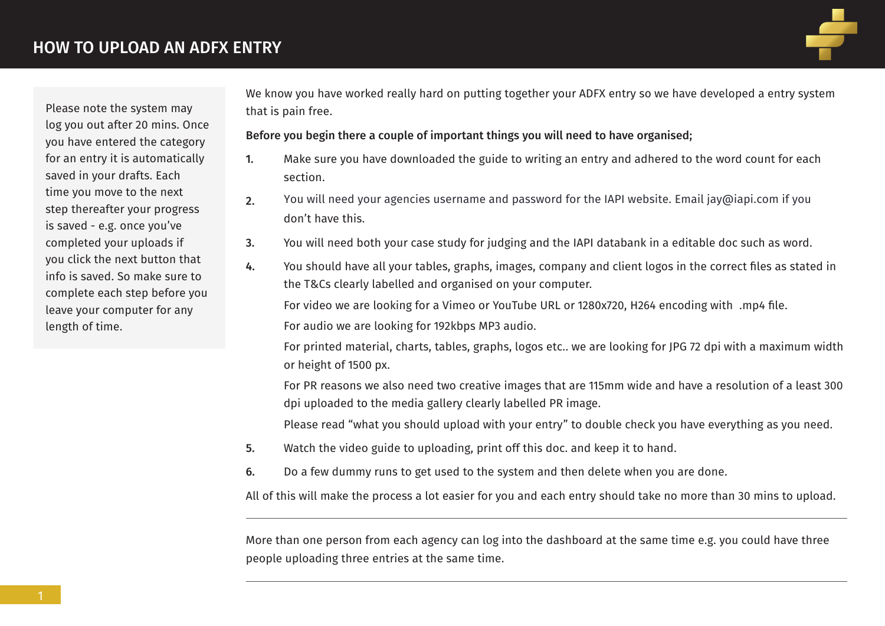

Please note the system may log you out after 20 mins. Once you have entered the category for an entry it is automatically saved in your drafts. Each time you move to the next step thereafter your progress is saved - e.g. once you've completed your uploads if you click the next button that info is saved. So make sure to complete each step before you leave your computer for any length of time.

We know you have worked really hard on putting together your ADFX entry so we have developed a entry system that is pain free.

Before you begin there a couple of important things you will need to have organised;

- 1. Make sure you have downloaded the guide to writing an entry and adhered to the word count for each section.
- 2. don't have this. You will need your agencies username and password for the IAPI website. Email jay@iapi.com if you
- 3. You will need both your case study for judging and the IAPI databank in a editable doc such as word.
- 4. You should have all your tables, graphs, images, company and client logos in the correct files as stated in the T&Cs clearly labelled and organised on your computer.

For video we are looking for a Vimeo or YouTube URL or 1280x720, H264 encoding with .mp4 file.

For audio we are looking for 192kbps MP3 audio.

 For printed material, charts, tables, graphs, logos etc.. we are looking for JPG 72 dpi with a maximum width or height of 1500 px.

 For PR reasons we also need two creative images that are 115mm wide and have a resolution of a least 300 dpi uploaded to the media gallery clearly labelled PR image.

Please read "what you should upload with your entry" to double check you have everything as you need.

- 5. Watch the video guide to uploading, print off this doc. and keep it to hand.
- 6. Do a few dummy runs to get used to the system and then delete when you are done.

All of this will make the process a lot easier for you and each entry should take no more than 30 mins to upload.

More than one person from each agency can log into the dashboard at the same time e.g. you could have three people uploading three entries at the same time.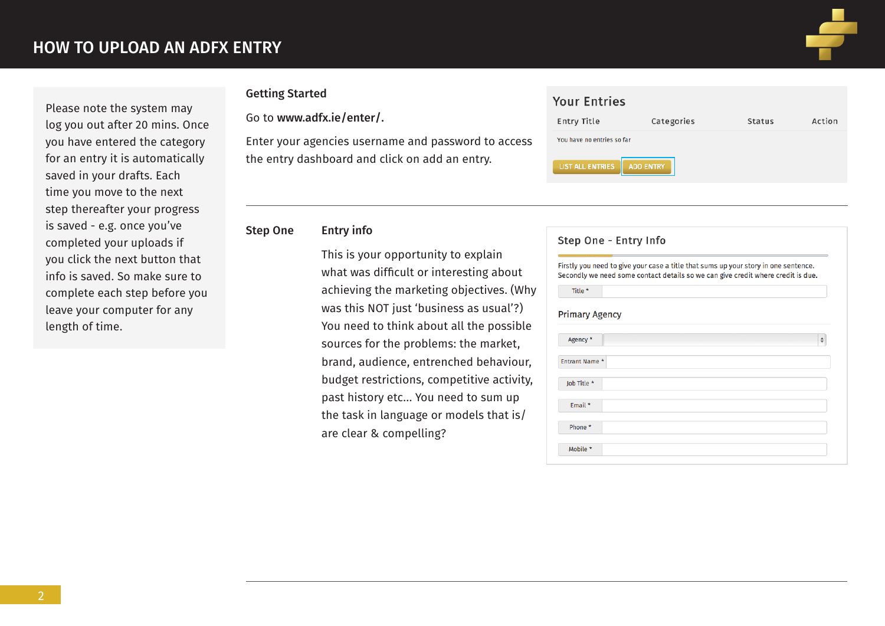

Action

Status

Please note the system may log you out after 20 mins. Once you have entered the category for an entry it is automatically saved in your drafts. Each time you move to the next step thereafter your progress is saved - e.g. once you've completed your uploads if you click the next button that info is saved. So make sure to complete each step before you leave your computer for any length of time.

### Getting Started

Go to www.adfx.ie/enter/.

Enter your agencies username and password to access the entry dashboard and click on add an entry.

### Step One Entry info

 This is your opportunity to explain what was difficult or interesting about achieving the marketing objectives. (Why was this NOT just 'business as usual'?) You need to think about all the possible sources for the problems: the market, brand, audience, entrenched behaviour, budget restrictions, competitive activity, past history etc… You need to sum up the task in language or models that is/ are clear & compelling?

| SS. | You have no entries so far                  |  |
|-----|---------------------------------------------|--|
|     | <b>ADD ENTRY</b><br><b>LIST ALL ENTRIES</b> |  |
|     |                                             |  |
|     |                                             |  |
|     |                                             |  |

Categories

**Your Entries** 

Entry Title

| Firstly you need to give your case a title that sums up your story in one sentence.<br>Secondly we need some contact details so we can give credit where credit is due. |        |
|-------------------------------------------------------------------------------------------------------------------------------------------------------------------------|--------|
| Title *                                                                                                                                                                 |        |
| <b>Primary Agency</b>                                                                                                                                                   |        |
| Agency *                                                                                                                                                                | $\div$ |
| Entrant Name *                                                                                                                                                          |        |
| Job Title *                                                                                                                                                             |        |
| Email *                                                                                                                                                                 |        |
| Phone *                                                                                                                                                                 |        |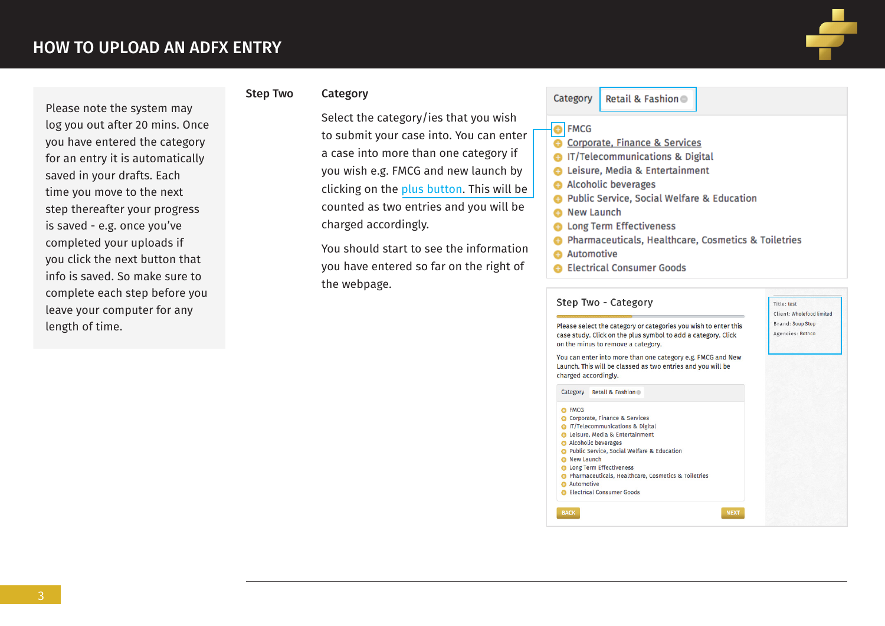

Please note the system may log you out after 20 mins. Once you have entered the category for an entry it is automatically saved in your drafts. Each time you move to the next step thereafter your progress is saved - e.g. once you've completed your uploads if you click the next button that info is saved. So make sure to complete each step before you leave your computer for any length of time.

### Step Two Category

 Select the category/ies that you wish to submit your case into. You can enter a case into more than one category if you wish e.g. FMCG and new launch by clicking on the plus button. This will be counted as two entries and you will be charged accordingly.

 You should start to see the information you have entered so far on the right of the webpage.

### Retail & Fashion Category

### **e**l FMCG

- Corporate, Finance & Services
- **G** IT/Telecommunications & Digital
- **C** Leisure, Media & Entertainment
- Alcoholic beverages
- **O** Public Service, Social Welfare & Education
- **6** New Launch
- **O** Long Term Effectiveness
- A Pharmaceuticals, Healthcare, Cosmetics & Toiletries
- **Automotive**
- **C** Electrical Consumer Goods

### Step Two - Category

Title: test Client: Wholefood limited Brand: Soup Stop Agencies: Rothco

Please select the category or categories you wish to enter this case study. Click on the plus symbol to add a category. Click on the minus to remove a category.

You can enter into more than one category e.g. FMCG and New Launch. This will be classed as two entries and you will be charged accordingly.

| Lategory | – Retail & Fashion |  |
|----------|--------------------|--|
|          |                    |  |

**O** FMCG Corporate, Finance & Services **O** IT/Telecommunications & Digita **C** Leisure, Media & Entertainment Alcoholic beverages **C** Public Service, Social Welfare & Education <sup>O</sup> New Launch **O** Long Term Effectiveness **O** Pharmaceuticals, Healthcare, Cosmetics & Toiletries **O** Automotive **B** Electrical Consumer Goods **NEXT BACK**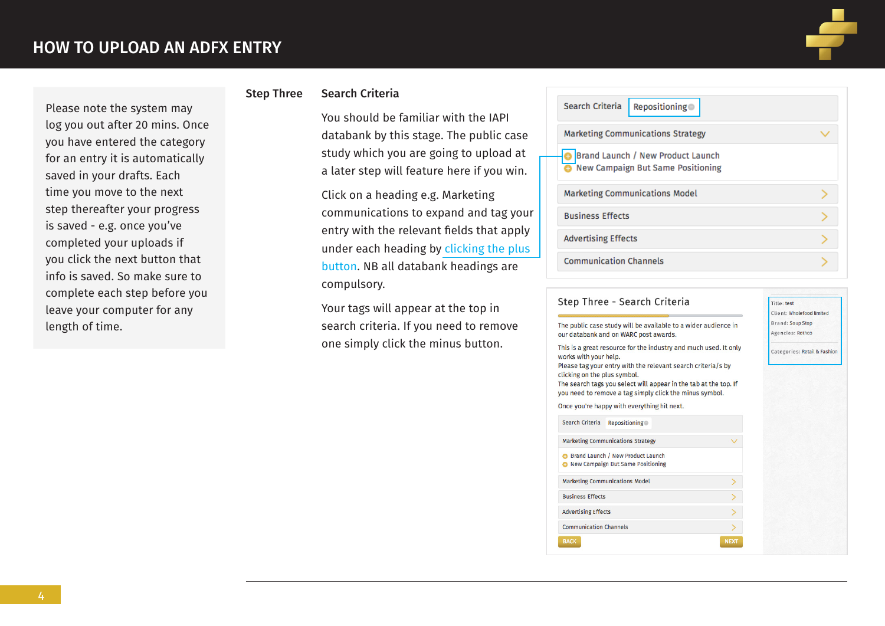log you out after 20 mins. Once you have entered the category for an entry it is automatically saved in your drafts. Each time you move to the next step thereafter your progress is saved - e.g. once you've completed your uploads if you click the next button that info is saved. So make sure to complete each step before you leave your computer for any

length of time.

# Please note the system may

Step Three Search Criteria

 You should be familiar with the IAPI databank by this stage. The public case study which you are going to upload at a later step will feature here if you win.

 Click on a heading e.g. Marketing communications to expand and tag your entry with the relevant fields that apply under each heading by clicking the plus button. NB all databank headings are compulsory.

 Your tags will appear at the top in search criteria. If you need to remove one simply click the minus button.

| Search Criteria<br>Repositioning                                       |  |
|------------------------------------------------------------------------|--|
| <b>Marketing Communications Strategy</b>                               |  |
| Brand Launch / New Product Launch<br>New Campaign But Same Positioning |  |
| <b>Marketing Communications Model</b>                                  |  |
| <b>Business Effects</b>                                                |  |
| <b>Advertising Effects</b>                                             |  |
| <b>Communication Channels</b>                                          |  |

### Step Three - Search Criteria Title: test Client: Wholefood limited **Brand: Soup Stop** The public case study will be available to a wider audience in our databank and on WARC post awards. Agencies: Rothco This is a great resource for the industry and much used. It only Categories: Retail & Fashion works with your help. Please tag your entry with the relevant search criteria/s by clicking on the plus symbol. The search tags you select will appear in the tab at the top. If you need to remove a tag simply click the minus symbol. Once you're happy with everything hit next. Search Criteria Repositioning **Marketing Communications Strategy** Brand Launch / New Product Launch New Campaign But Same Positioning **Marketing Communications Model Business Effects Advertising Effects**  $\overline{\phantom{1}}$ **Communication Channels BACK NEXT**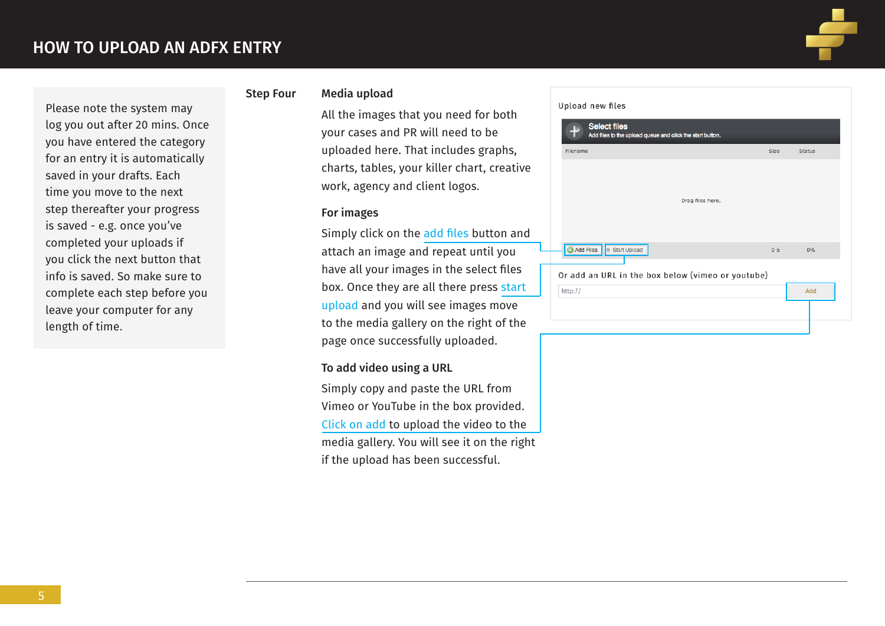

## Please note the system may log you out after 20 mins. Once you have entered the category for an entry it is automatically saved in your drafts. Each time you move to the next step thereafter your progress is saved - e.g. once you've completed your uploads if you click the next button that info is saved. So make sure to complete each step before you leave your computer for any length of time.

### Step Four Media upload

 All the images that you need for both your cases and PR will need to be uploaded here. That includes graphs, charts, tables, your killer chart, creative work, agency and client logos.

### For images

 Simply click on the add files button and attach an image and repeat until you have all your images in the select files box. Once they are all there press start upload and you will see images move to the media gallery on the right of the page once successfully uploaded.

### To add video using a URL

 Simply copy and paste the URL from Vimeo or YouTube in the box provided. Click on add to upload the video to the media gallery. You will see it on the right if the upload has been successful.

### Upload new files

| <b>Size</b> | <b>Status</b>                                                       |
|-------------|---------------------------------------------------------------------|
|             |                                                                     |
|             |                                                                     |
|             | 0%                                                                  |
|             |                                                                     |
|             |                                                                     |
|             | Add                                                                 |
|             | 0 <sub>b</sub><br>Or add an URL in the box below (vimeo or youtube) |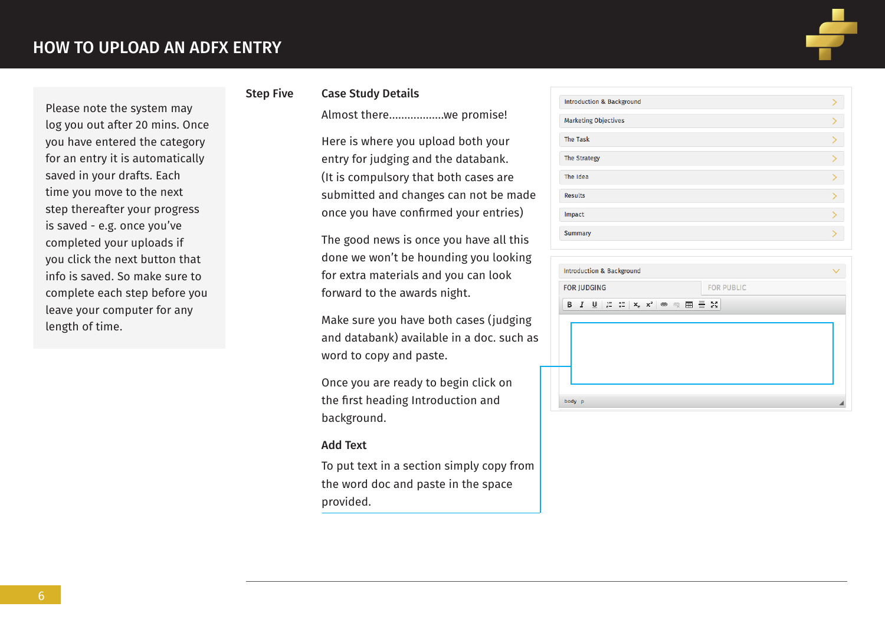Please note the system may log you out after 20 mins. Once you have entered the category for an entry it is automatically saved in your drafts. Each time you move to the next step thereafter your progress is saved - e.g. once you've completed your uploads if you click the next button that info is saved. So make sure to complete each step before you leave your computer for any

length of time.



## Step Five Case Study Details

Almost there………………we promise!

 Here is where you upload both your entry for judging and the databank. (It is compulsory that both cases are submitted and changes can not be made once you have confirmed your entries)

 The good news is once you have all this done we won't be hounding you looking for extra materials and you can look forward to the awards night.

Make sure you have both cases (judging and databank) available in a doc. such as word to copy and paste.

 Once you are ready to begin click on the first heading Introduction and background.

### Add Text

 To put text in a section simply copy from the word doc and paste in the space provided.

| <b>Introduction &amp; Background</b> |  |
|--------------------------------------|--|
| <b>Marketing Objectives</b>          |  |
| <b>The Task</b>                      |  |
| <b>The Strategy</b>                  |  |
| The Idea                             |  |
| <b>Results</b>                       |  |
| Impact                               |  |
| Summary                              |  |
|                                      |  |

| <b>Introduction &amp; Background</b>                                                                                                                                                                                                                                                                                                                                                                                                                                                                                                                                                    |                   |
|-----------------------------------------------------------------------------------------------------------------------------------------------------------------------------------------------------------------------------------------------------------------------------------------------------------------------------------------------------------------------------------------------------------------------------------------------------------------------------------------------------------------------------------------------------------------------------------------|-------------------|
| <b>FOR JUDGING</b>                                                                                                                                                                                                                                                                                                                                                                                                                                                                                                                                                                      | <b>FOR PUBLIC</b> |
| $I \perp \!\!\! \perp \parallel \; \mathrel{\mathop:}= \; \mathrel{\mathop:}= \; \mid \mathsf{x}_{\scriptscriptstyle{2}} \mid \mathsf{x}^{\scriptscriptstyle{2}} \mid \; \Leftrightarrow \;\; \otimes_{\scriptscriptstyle{2}} \; \boxplus \; \equiv \; \mathrel{\mathop:}\mathrel{\mathop:}\mathrel{\mathop:}\mathrel{\mathop:}\mathrel{\mathop:}\mathrel{\mathop:}\mathrel{\mathop:}\mathrel{\mathop:}\mathrel{\mathop:}\mathrel{\mathop:}\mathrel{\mathop:}\mathrel{\mathop:}\mathrel{\mathop:}\mathrel{\mathop:}\mathrel{\mathop:}\mathrel{\mathop:}\mathrel{\mathop:}\mathrel$<br>в |                   |
|                                                                                                                                                                                                                                                                                                                                                                                                                                                                                                                                                                                         |                   |
|                                                                                                                                                                                                                                                                                                                                                                                                                                                                                                                                                                                         |                   |
|                                                                                                                                                                                                                                                                                                                                                                                                                                                                                                                                                                                         |                   |
|                                                                                                                                                                                                                                                                                                                                                                                                                                                                                                                                                                                         |                   |
|                                                                                                                                                                                                                                                                                                                                                                                                                                                                                                                                                                                         |                   |
| body p                                                                                                                                                                                                                                                                                                                                                                                                                                                                                                                                                                                  |                   |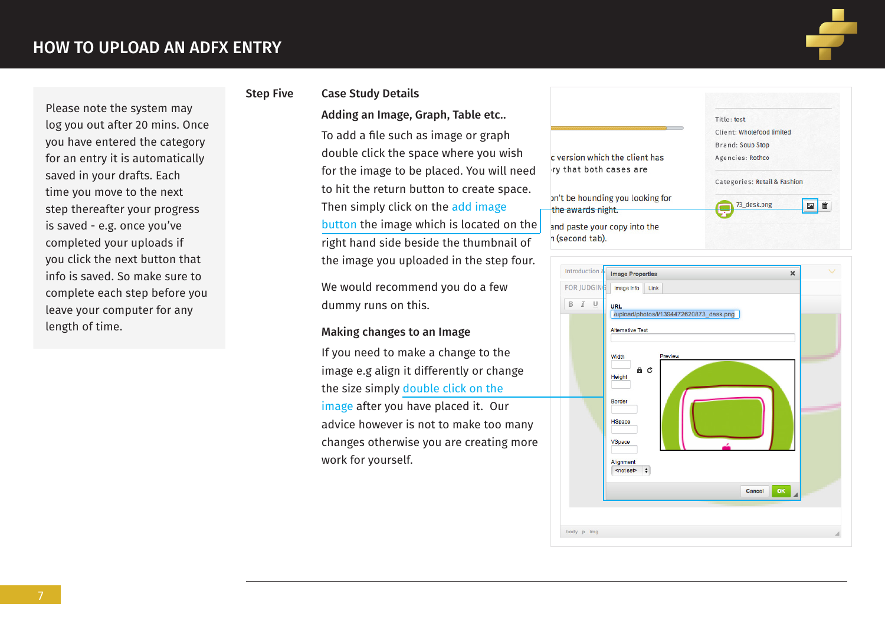Please note the system may log you out after 20 mins. Once you have entered the category for an entry it is automatically

saved in your drafts. Each time you move to the next step thereafter your progress is saved - e.g. once you've completed your uploads if you click the next button that info is saved. So make sure to complete each step before you leave your computer for any

length of time.



### Step Five Case Study Details

# Adding an Image, Graph, Table etc..

 To add a file such as image or graph double click the space where you wish for the image to be placed. You will need to hit the return button to create space. Then simply click on the add image button the image which is located on the right hand side beside the thumbnail of the image you uploaded in the step four.

 We would recommend you do a few dummy runs on this.

### Making changes to an Image

 If you need to make a change to the image e.g align it differently or change the size simply double click on the image after you have placed it. Our advice however is not to make too many

changes otherwise you are creating more work for yourself.



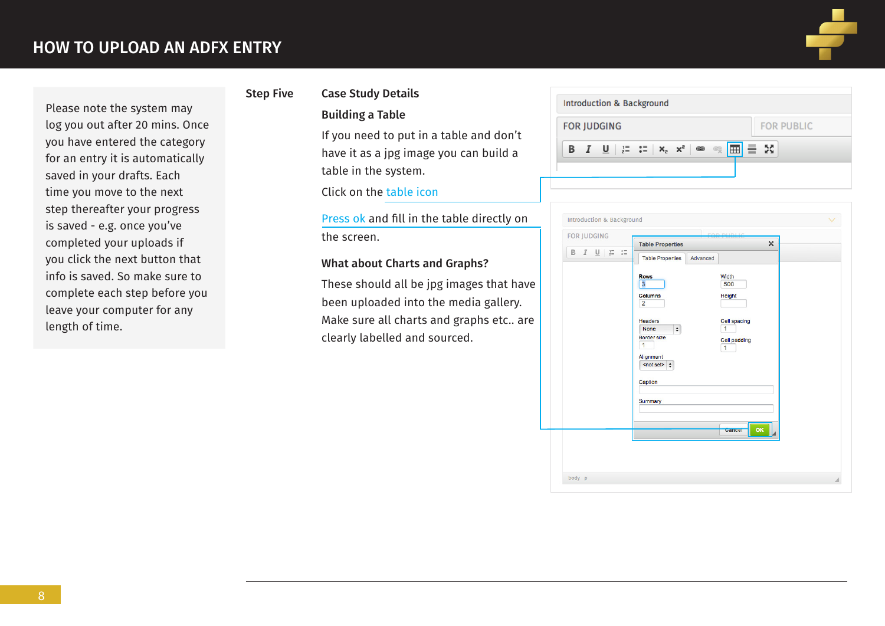Please note the system may log you out after 20 mins. Once you have entered the category for an entry it is automatically saved in your drafts. Each time you move to the next step thereafter your progress is saved - e.g. once you've completed your uploads if you click the next button that info is saved. So make sure to complete each step before you leave your computer for any

length of time.



## Step Five Case Study Details Building a Table

 If you need to put in a table and don't have it as a jpg image you can build a table in the system.

Click on the table icon

 Press ok and fill in the table directly on the screen.

### What about Charts and Graphs?

 These should all be jpg images that have been uploaded into the media gallery. Make sure all charts and graphs etc.. are clearly labelled and sourced.

| <b>FOR JUDGING</b> |                                                                                                          |  |     | <b>FOR PUBLIC</b> |  |
|--------------------|----------------------------------------------------------------------------------------------------------|--|-----|-------------------|--|
|                    |                                                                                                          |  |     |                   |  |
|                    | <b>B</b> $I$ <b>U</b> $ \mathbf{r} \geq$ $ \mathbf{x}_2 $ $ \mathbf{x}_3 $ $ \mathbf{r} $ $ \mathbf{r} $ |  | ≣ % |                   |  |

| <b>FOR JUDGING</b>                                                                      |                                                   | FAB BUILL                      |  |
|-----------------------------------------------------------------------------------------|---------------------------------------------------|--------------------------------|--|
|                                                                                         | <b>Table Properties</b>                           | $\pmb{\times}$                 |  |
| $\underset{0}{\circ} \, \equiv$<br>$B$ $I$ $\underline{U}$ $\underset{z=1}{\mathbb{I}}$ | <b>Table Properties</b><br>Advanced               |                                |  |
|                                                                                         | <b>Rows</b>                                       | Width                          |  |
|                                                                                         | 3                                                 | 500                            |  |
|                                                                                         | <b>Columns</b><br>$\overline{2}$                  | Height                         |  |
|                                                                                         | <b>Headers</b>                                    | Cell spacing                   |  |
|                                                                                         | $\pmb{\div}$<br><b>None</b><br><b>Border size</b> | $\overline{1}$                 |  |
|                                                                                         | 1                                                 | Cell padding<br>$\overline{1}$ |  |
|                                                                                         | Alignment                                         |                                |  |
|                                                                                         | <not set=""> <math>\div</math></not>              |                                |  |
|                                                                                         | Caption                                           |                                |  |
|                                                                                         | Summary                                           |                                |  |
|                                                                                         |                                                   |                                |  |
|                                                                                         |                                                   |                                |  |
|                                                                                         |                                                   | OK<br>Cancel                   |  |
|                                                                                         |                                                   |                                |  |
|                                                                                         |                                                   |                                |  |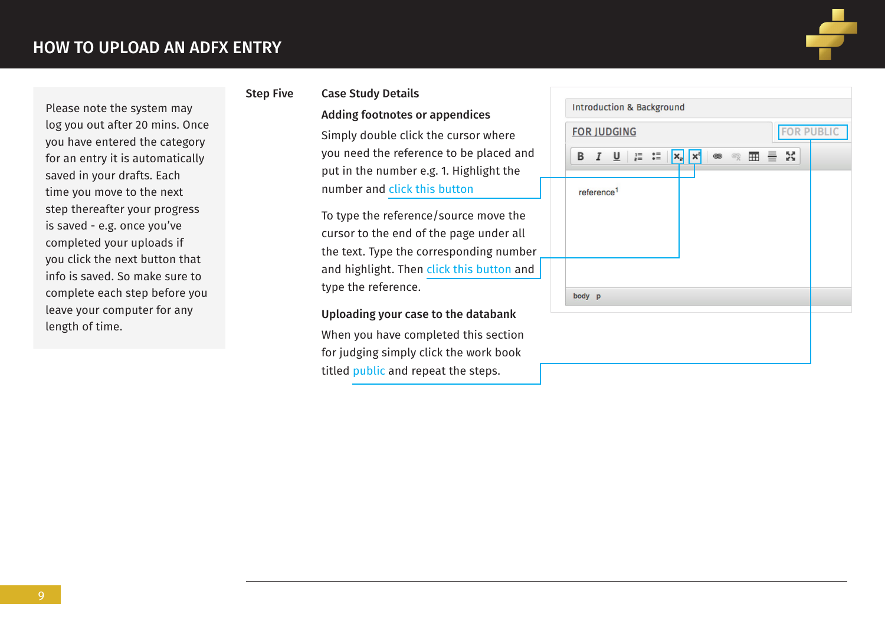Please note the system may log you out after 20 mins. Once you have entered the category for an entry it is automatically saved in your drafts. Each time you move to the next step thereafter your progress is saved - e.g. once you've completed your uploads if you click the next button that info is saved. So make sure to complete each step before you leave your computer for any

length of time.



## Step Five Case Study Details Adding footnotes or appendices

 Simply double click the cursor where you need the reference to be placed and put in the number e.g. 1. Highlight the number and click this button

 To type the reference/source move the cursor to the end of the page under all the text. Type the corresponding number and highlight. Then click this button and type the reference.

Uploading your case to the databank

 When you have completed this section for judging simply click the work book titled public and repeat the steps.

|        |                                     | <b>FOR JUDGING</b> |                                            |             |                                           |          | <b>FOR PUBLIC</b> |
|--------|-------------------------------------|--------------------|--------------------------------------------|-------------|-------------------------------------------|----------|-------------------|
|        | <b>B</b> $I \underline{\mathsf{U}}$ |                    | $E = \begin{bmatrix} 1 \\ 2 \end{bmatrix}$ | $x_2$ $x_3$ | $\bullet$ $\circ$ $\overline{H}$ $\equiv$ | КX<br>КУ |                   |
|        | reference <sup>1</sup>              |                    |                                            |             |                                           |          |                   |
|        |                                     |                    |                                            |             |                                           |          |                   |
|        |                                     |                    |                                            |             |                                           |          |                   |
|        |                                     |                    |                                            |             |                                           |          |                   |
| body p |                                     |                    |                                            |             |                                           |          |                   |
|        |                                     |                    |                                            |             |                                           |          |                   |